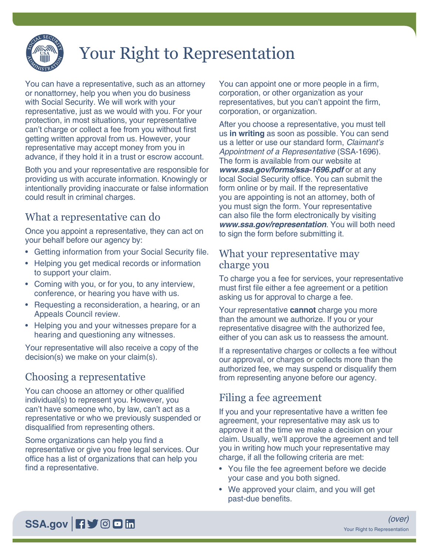

# Your Right to Representation

You can have a representative, such as an attorney or nonattorney, help you when you do business with Social Security. We will work with your representative, just as we would with you. For your protection, in most situations, your representative can't charge or collect a fee from you without first getting written approval from us. However, your representative may accept money from you in advance, if they hold it in a trust or escrow account.

Both you and your representative are responsible for providing us with accurate information. Knowingly or intentionally providing inaccurate or false information could result in criminal charges.

## What a representative can do

Once you appoint a representative, they can act on your behalf before our agency by:

- Getting information from your Social Security file.
- Helping you get medical records or information to support your claim.
- Coming with you, or for you, to any interview, conference, or hearing you have with us.
- Requesting a reconsideration, a hearing, or an Appeals Council review.
- Helping you and your witnesses prepare for a hearing and questioning any witnesses.

Your representative will also receive a copy of the decision(s) we make on your claim(s).

# Choosing a representative

You can choose an attorney or other qualified individual(s) to represent you. However, you can't have someone who, by law, can't act as a representative or who we previously suspended or disqualified from representing others.

Some organizations can help you find a representative or give you free legal services. Our office has a list of organizations that can help you find a representative.

You can appoint one or more people in a firm, corporation, or other organization as your representatives, but you can't appoint the firm, corporation, or organization.

After you choose a representative, you must tell us **in writing** as soon as possible. You can send us a letter or use our standard form, *Claimant's Appointment of a Representative* (SSA-1696). The form is available from our website at *[www.ssa.gov/forms/ssa-1696.pdf](https://www.ssa.gov/forms/ssa-1696.pdf)* or at any local Social Security office. You can submit the form online or by mail. If the representative you are appointing is not an attorney, both of you must sign the form. Your representative can also file the form electronically by visiting *[www.ssa.gov/representation](https://www.ssa.gov/representation)*. You will both need to sign the form before submitting it.

#### What your representative may charge you

To charge you a fee for services, your representative must first file either a fee agreement or a petition asking us for approval to charge a fee.

Your representative **cannot** charge you more than the amount we authorize. If you or your representative disagree with the authorized fee, either of you can ask us to reassess the amount.

If a representative charges or collects a fee without our approval, or charges or collects more than the authorized fee, we may suspend or disqualify them from representing anyone before our agency.

## Filing a fee agreement

If you and your representative have a written fee agreement, your representative may ask us to approve it at the time we make a decision on your claim. Usually, we'll approve the agreement and tell you in writing how much your representative may charge, if all the following criteria are met:

- You file the fee agreement before we decide your case and you both signed.
- We approved your claim, and you will get past-due benefits.